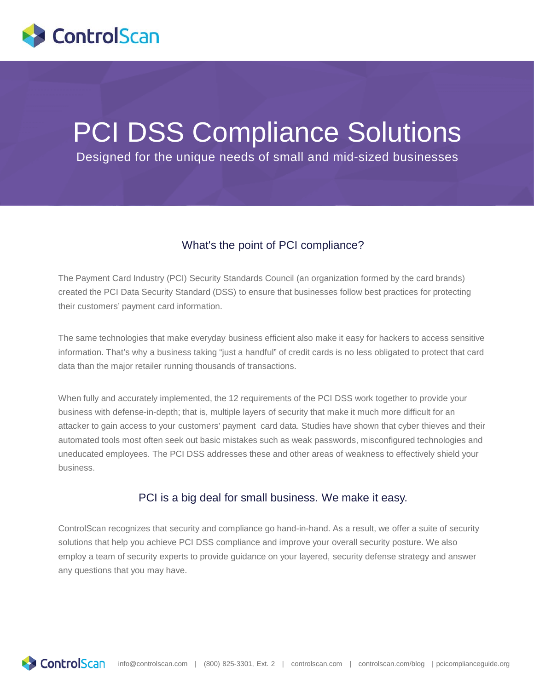

# PCI DSS Compliance Solutions

Designed for the unique needs of small and mid-sized businesses

## What's the point of PCI compliance?

The Payment Card Industry (PCI) Security Standards Council (an organization formed by the card brands) created the PCI Data Security Standard (DSS) to ensure that businesses follow best practices for protecting their customers' payment card information.

The same technologies that make everyday business efficient also make it easy for hackers to access sensitive information. That's why a business taking "just a handful" of credit cards is no less obligated to protect that card data than the major retailer running thousands of transactions.

When fully and accurately implemented, the 12 requirements of the PCI DSS work together to provide your business with defense-in-depth; that is, multiple layers of security that make it much more difficult for an attacker to gain access to your customers' payment card data. Studies have shown that cyber thieves and their automated tools most often seek out basic mistakes such as weak passwords, misconfigured technologies and uneducated employees. The PCI DSS addresses these and other areas of weakness to effectively shield your business.

#### PCI is a big deal for small business. We make it easy.

ControlScan recognizes that security and compliance go hand-in-hand. As a result, we offer a suite of security solutions that help you achieve PCI DSS compliance and improve your overall security posture. We also employ a team of security experts to provide guidance on your layered, security defense strategy and answer any questions that you may have.

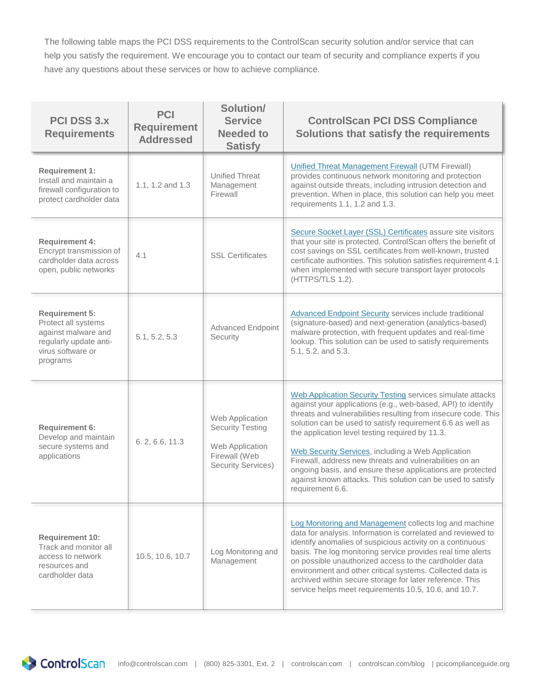The following table maps the PCI DSS requirements to the ControlScan security solution and/or service that can help you satisfy the requirement. We encourage you to contact our team of security and compliance experts if you have any questions about these services or how to achieve compliance.

| <b>PCI DSS 3.X</b><br><b>Requirements</b>                                                                                      | <b>PCI</b><br><b>Requirement</b><br><b>Addressed</b> | Solution/<br><b>Service</b><br><b>Needed to</b><br><b>Satisfy</b>                                           | <b>ControlScan PCI DSS Compliance</b><br>Solutions that satisfy the requirements                                                                                                                                                                                                                                                                                                                                                                                                                                                                                                |
|--------------------------------------------------------------------------------------------------------------------------------|------------------------------------------------------|-------------------------------------------------------------------------------------------------------------|---------------------------------------------------------------------------------------------------------------------------------------------------------------------------------------------------------------------------------------------------------------------------------------------------------------------------------------------------------------------------------------------------------------------------------------------------------------------------------------------------------------------------------------------------------------------------------|
| <b>Requirement 1:</b><br>Install and maintain a<br>firewall configuration to<br>protect cardholder data                        | 1.1, 1.2 and 1.3                                     | <b>Unified Threat</b><br>Management<br>Firewall                                                             | <b>Unified Threat Management Firewall (UTM Firewall)</b><br>provides continuous network monitoring and protection<br>against outside threats, including intrusion detection and<br>prevention. When in place, this solution can help you meet<br>requirements 1.1, 1.2 and 1.3.                                                                                                                                                                                                                                                                                                 |
| <b>Requirement 4:</b><br>Encrypt transmission of<br>cardholder data across<br>open, public networks                            | 4.1                                                  | <b>SSL Certificates</b>                                                                                     | Secure Socket Layer (SSL) Certificates assure site visitors<br>that your site is protected. ControlScan offers the benefit of<br>cost savings on SSL certificates from well-known, trusted<br>certificate authorities. This solution satisfies requirement 4.1<br>when implemented with secure transport layer protocols<br>(HTTPS/TLS 1.2).                                                                                                                                                                                                                                    |
| <b>Requirement 5:</b><br>Protect all systems<br>against malware and<br>regularly update anti-<br>virus software or<br>programs | 5.1, 5.2, 5.3                                        | <b>Advanced Endpoint</b><br>Security                                                                        | <b>Advanced Endpoint Security services include traditional</b><br>(signature-based) and next-generation (analytics-based)<br>malware protection, with frequent updates and real-time<br>lookup. This solution can be used to satisfy requirements<br>5.1, 5.2, and 5.3.                                                                                                                                                                                                                                                                                                         |
| <b>Requirement 6:</b><br>Develop and maintain<br>secure systems and<br>applications                                            | 6.2, 6.6, 11.3                                       | Web Application<br><b>Security Testing</b><br>Web Application<br>Firewall (Web<br><b>Security Services)</b> | Web Application Security Testing services simulate attacks<br>against your applications (e.g., web-based, API) to identify<br>threats and vulnerabilities resulting from insecure code. This<br>solution can be used to satisfy requirement 6.6 as well as<br>the application level testing required by 11.3.<br>Web Security Services, including a Web Application<br>Firewall, address new threats and vulnerabilities on an<br>ongoing basis, and ensure these applications are protected<br>against known attacks. This solution can be used to satisfy<br>requirement 6.6. |
| <b>Requirement 10:</b><br>Track and monitor all<br>access to network<br>resources and<br>cardholder data                       | 10.5, 10.6, 10.7                                     | Log Monitoring and<br>Management                                                                            | Log Monitoring and Management collects log and machine<br>data for analysis. Information is correlated and reviewed to<br>identify anomalies of suspicious activity on a continuous<br>basis. The log monitoring service provides real time alerts<br>on possible unauthorized access to the cardholder data<br>environment and other critical systems. Collected data is<br>archived within secure storage for later reference. This<br>service helps meet requirements 10.5, 10.6, and 10.7.                                                                                  |

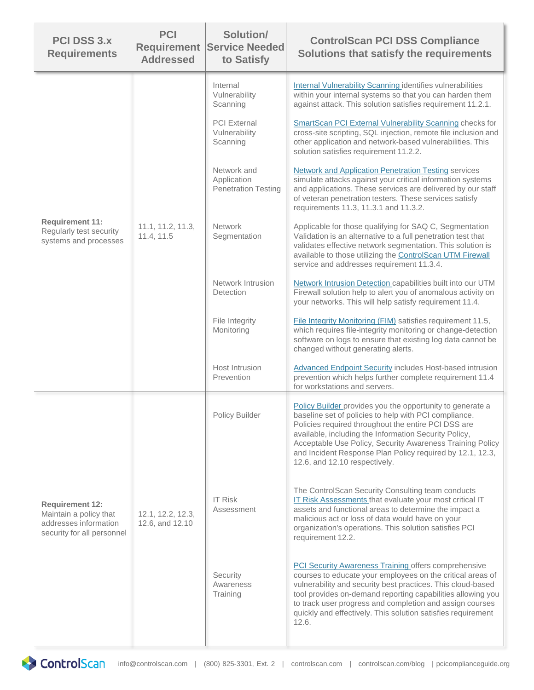| <b>PCI DSS 3.x</b><br><b>Requirements</b>                                                               | <b>PCI</b><br><b>Requirement</b><br><b>Addressed</b> | Solution/<br><b>Service Needed</b><br>to Satisfy         | <b>ControlScan PCI DSS Compliance</b><br>Solutions that satisfy the requirements                                                                                                                                                                                                                                                                                                              |
|---------------------------------------------------------------------------------------------------------|------------------------------------------------------|----------------------------------------------------------|-----------------------------------------------------------------------------------------------------------------------------------------------------------------------------------------------------------------------------------------------------------------------------------------------------------------------------------------------------------------------------------------------|
| <b>Requirement 11:</b><br>Regularly test security<br>systems and processes                              | 11.1, 11.2, 11.3,<br>11.4, 11.5                      | Internal<br>Vulnerability<br>Scanning                    | Internal Vulnerability Scanning identifies vulnerabilities<br>within your internal systems so that you can harden them<br>against attack. This solution satisfies requirement 11.2.1.                                                                                                                                                                                                         |
|                                                                                                         |                                                      | <b>PCI</b> External<br>Vulnerability<br>Scanning         | SmartScan PCI External Vulnerability Scanning checks for<br>cross-site scripting, SQL injection, remote file inclusion and<br>other application and network-based vulnerabilities. This<br>solution satisfies requirement 11.2.2.                                                                                                                                                             |
|                                                                                                         |                                                      | Network and<br>Application<br><b>Penetration Testing</b> | <b>Network and Application Penetration Testing services</b><br>simulate attacks against your critical information systems<br>and applications. These services are delivered by our staff<br>of veteran penetration testers. These services satisfy<br>requirements 11.3, 11.3.1 and 11.3.2.                                                                                                   |
|                                                                                                         |                                                      | <b>Network</b><br>Segmentation                           | Applicable for those qualifying for SAQ C, Segmentation<br>Validation is an alternative to a full penetration test that<br>validates effective network segmentation. This solution is<br>available to those utilizing the ControlScan UTM Firewall<br>service and addresses requirement 11.3.4.                                                                                               |
|                                                                                                         |                                                      | Network Intrusion<br>Detection                           | Network Intrusion Detection capabilities built into our UTM<br>Firewall solution help to alert you of anomalous activity on<br>your networks. This will help satisfy requirement 11.4.                                                                                                                                                                                                        |
|                                                                                                         |                                                      | File Integrity<br>Monitoring                             | File Integrity Monitoring (FIM) satisfies requirement 11.5,<br>which requires file-integrity monitoring or change-detection<br>software on logs to ensure that existing log data cannot be<br>changed without generating alerts.                                                                                                                                                              |
|                                                                                                         |                                                      | Host Intrusion<br>Prevention                             | Advanced Endpoint Security includes Host-based intrusion<br>prevention which helps further complete requirement 11.4<br>for workstations and servers.                                                                                                                                                                                                                                         |
| <b>Requirement 12:</b><br>Maintain a policy that<br>addresses information<br>security for all personnel | 12.1, 12.2, 12.3,<br>12.6, and 12.10                 | Policy Builder                                           | Policy Builder provides you the opportunity to generate a<br>baseline set of policies to help with PCI compliance.<br>Policies required throughout the entire PCI DSS are<br>available, including the Information Security Policy,<br>Acceptable Use Policy, Security Awareness Training Policy<br>and Incident Response Plan Policy required by 12.1, 12.3,<br>12.6, and 12.10 respectively. |
|                                                                                                         |                                                      | <b>IT Risk</b><br>Assessment                             | The ControlScan Security Consulting team conducts<br>IT Risk Assessments that evaluate your most critical IT<br>assets and functional areas to determine the impact a<br>malicious act or loss of data would have on your<br>organization's operations. This solution satisfies PCI<br>requirement 12.2.                                                                                      |
|                                                                                                         |                                                      | Security<br>Awareness<br>Training                        | <b>PCI Security Awareness Training offers comprehensive</b><br>courses to educate your employees on the critical areas of<br>vulnerability and security best practices. This cloud-based<br>tool provides on-demand reporting capabilities allowing you<br>to track user progress and completion and assign courses<br>quickly and effectively. This solution satisfies requirement<br>12.6.  |